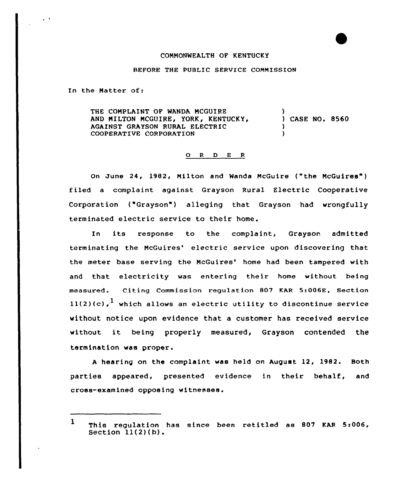## COMMONWEALTH OF KENTUCKY

## BEFORE THE PUBLIC SERVICE COMMISSION

In the Natter of:

 $\sim$   $^{\prime}$ 

THE CONPLAINT OF WANDA MCGUIRE AND MILTON MCGUIRE, YORK, KENTUCKY, AGAINST GRAYSON RURAL ELECTRIC COOPERATIVE CORPORATION ) ) CASE NO. 8560 ) )

## O R D E R

On June 24, 1982, Milton and Wanda NcGuire ("the NcGuires") filed a complaint against Grayson Rural Electric Cooperative Corporation ("Grayson") alleging that Grayson had wrongfully terminated electric service to their home.

In its response to the complaint, Grayson admitted terminating the McGuires' electric service upon discovering that the meter base serving the McGuires' home had been tampered with and that. electricity was entering their home without being measured. Citing Commission regulation 807 KAR 5:006E, Section  $11(2)(c)$ , which allows an electric utility to discontinue service without notice upon evidence that a customer has received service without it being properly measured, Grayson contended the termination was proper.

<sup>A</sup> hearing on the complaint was held on August 12, 1982. Both parties appeared, presented evidence in their behalf, and cross-examined opposing witnesses.

<sup>1</sup> This regulation has since been retitled as 807 KAR 5:006, Section  $11(2)(b)$ .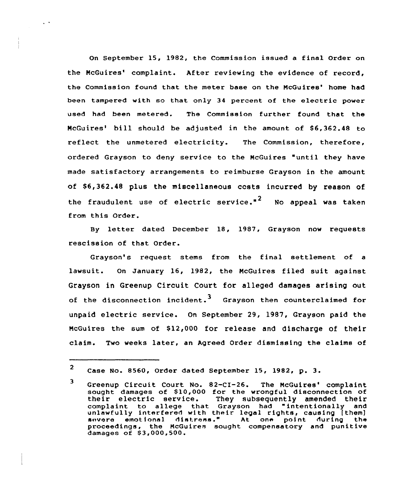On September 15, 1982, the Commission issued a final Order on the McGuires' complaint. After reviewing the evidence of record. the Commission found that the meter base on the McGuires' home had been tampered with so that only 34 percent of the electric power used had been metered. The Commission further found that the McGuires' bill should be adjusted in the amount of \$6,362.48 to reflect the unmetered electricity. The Commission, therefore, ordered Grayson to deny service to the NcGuires "until they have made satisfactory arrangements to reimburse Grayson in the amount of \$6,362.48 plus the miscellaneous costs incurred by reason of the fraudulent use of electric service."<sup>2</sup> No appeal was taken from this Order.

 $\ddot{\phantom{a}}$ 

By letter dated December 18, 1987, Grayson now requests rescission of that Order.

Grayson's request stems from the final settlement of a lawsuit. On January 16, 1982, the NcGuires filed suit against Grayson in Greenup Circuit Court for alleged damages arising out of the disconnection incident.<sup>3</sup> Grayson then counterclaimed for unpaid electric service. On September 29, 1987, Grayson paid the McGuires the sum of \$12,000 for release and discharge of their claim. Two weeks later, an Agreed Order dismissing the claims of

<sup>2</sup> Case No. 8560, Order dated September 15, 1982, p. 3.

<sup>3</sup> Greenup Circuit Court No. 82-CI-26. The McGuires' complaint sought damages of \$10,000 for the wrongful disconnection of<br>their electric service. They subsequently amended their They subsequently amended their complaint to allege that Grayson had "intentionally and compraint to arrege that drayson had intentionally an uniawithly interfered with their legal rights, causing [them]<br>severe emotional distress." At one point during the proceedings, the NcGuires sought compensatory and punitive damages of \$3,000,500.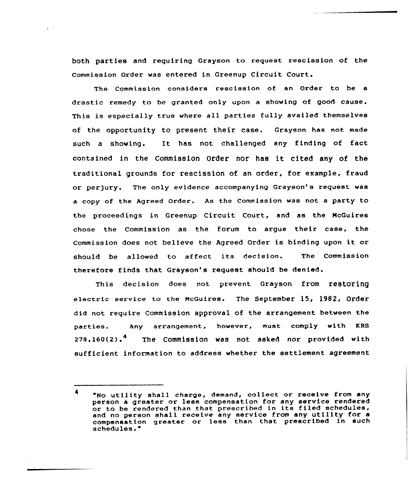both parties and requiring Grayson to request rescission of the Commission Order was entered in Greenup Circuit Court.

The Commission considers rescission of an Order to be a drastic remedy to be granted only upon a showing of good cause. This is especially true where all parties fully availed themselves of the opportunity to present their case. Grayson has not made such <sup>a</sup> showing. It has not challenged any finding of fact contained in the Commission Order nor has it Cited any of the traditional grounds for rescission of an order, for example, fraud or perjury. The only evidence accompanying Grayson's request was <sup>a</sup> copy of the Agreed Order. As the Commission was not <sup>a</sup> party to the proceedings in Greenup Circuit Court, and as the McGuires chose the Commission as the forum to argue their case, the Commission does not believe the Agreed Order is binding upon it or should be allowed to affect its decision. The Commission therefore finds that Grayson's request should be denied.

This decision does not prevent Grayson from reetOring electric service to the McGuires. The September 15, 1982, Order did not require Commission approval of the arrangement between the parties. Any arrangement, however, must comply with KRS  $278.160(2).$ <sup>4</sup> The Commission was not asked nor provided with sufficient information to address whether the settlement agreement

<sup>&</sup>quot;No utility shall charge, demand, collect or receive from any person a greater or less compensation for any service rendered or to be rendered than that prescribed in its filed schedules, and no person shall receive any service from any utility for a compensation greater or less than that prescribed in such schedules. "